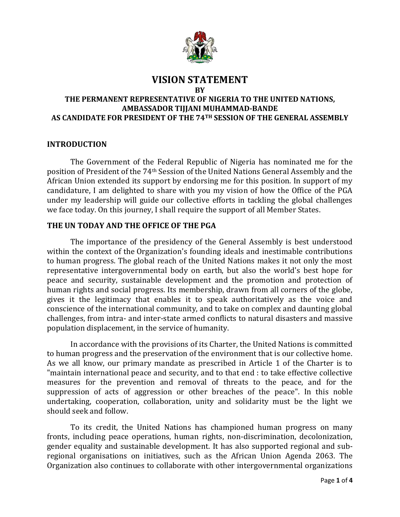

# **VISION STATEMENT**

**BY** 

### **THE PERMANENT REPRESENTATIVE OF NIGERIA TO THE UNITED NATIONS, AMBASSADOR TIJJANI MUHAMMAD-BANDE AS CANDIDATE FOR PRESIDENT OF THE 74TH SESSION OF THE GENERAL ASSEMBLY**

#### **INTRODUCTION**

The Government of the Federal Republic of Nigeria has nominated me for the position of President of the 74th Session of the United Nations General Assembly and the African Union extended its support by endorsing me for this position. In support of my candidature, I am delighted to share with you my vision of how the Office of the PGA under my leadership will guide our collective efforts in tackling the global challenges we face today. On this journey, I shall require the support of all Member States.

### **THE UN TODAY AND THE OFFICE OF THE PGA**

The importance of the presidency of the General Assembly is best understood within the context of the Organization's founding ideals and inestimable contributions to human progress. The global reach of the United Nations makes it not only the most representative intergovernmental body on earth, but also the world's best hope for peace and security, sustainable development and the promotion and protection of human rights and social progress. Its membership, drawn from all corners of the globe, gives it the legitimacy that enables it to speak authoritatively as the voice and conscience of the international community, and to take on complex and daunting global challenges, from intra- and inter-state armed conflicts to natural disasters and massive population displacement, in the service of humanity.

In accordance with the provisions of its Charter, the United Nations is committed to human progress and the preservation of the environment that is our collective home. As we all know, our primary mandate as prescribed in Article 1 of the Charter is to "maintain international peace and security, and to that end : to take effective collective measures for the prevention and removal of threats to the peace, and for the suppression of acts of aggression or other breaches of the peace". In this noble undertaking, cooperation, collaboration, unity and solidarity must be the light we should seek and follow.

To its credit, the United Nations has championed human progress on many fronts, including peace operations, human rights, non-discrimination, decolonization, gender equality and sustainable development. It has also supported regional and subregional organisations on initiatives, such as the African Union Agenda 2063. The Organization also continues to collaborate with other intergovernmental organizations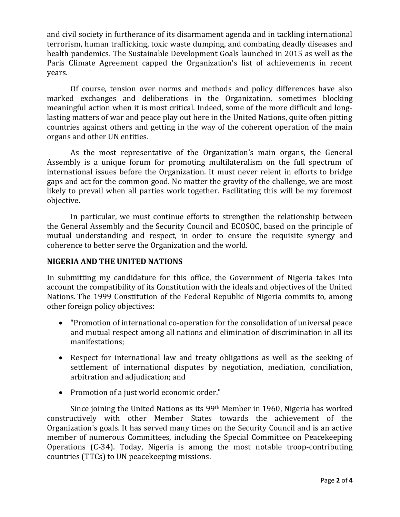and civil society in furtherance of its disarmament agenda and in tackling international terrorism, human trafficking, toxic waste dumping, and combating deadly diseases and health pandemics. The Sustainable Development Goals launched in 2015 as well as the Paris Climate Agreement capped the Organization's list of achievements in recent years.

Of course, tension over norms and methods and policy differences have also marked exchanges and deliberations in the Organization, sometimes blocking meaningful action when it is most critical. Indeed, some of the more difficult and longlasting matters of war and peace play out here in the United Nations, quite often pitting countries against others and getting in the way of the coherent operation of the main organs and other UN entities.

As the most representative of the Organization's main organs, the General Assembly is a unique forum for promoting multilateralism on the full spectrum of international issues before the Organization. It must never relent in efforts to bridge gaps and act for the common good. No matter the gravity of the challenge, we are most likely to prevail when all parties work together. Facilitating this will be my foremost objective.

In particular, we must continue efforts to strengthen the relationship between the General Assembly and the Security Council and ECOSOC, based on the principle of mutual understanding and respect, in order to ensure the requisite synergy and coherence to better serve the Organization and the world.

## **NIGERIA AND THE UNITED NATIONS**

In submitting my candidature for this office, the Government of Nigeria takes into account the compatibility of its Constitution with the ideals and objectives of the United Nations. The 1999 Constitution of the Federal Republic of Nigeria commits to, among other foreign policy objectives:

- "Promotion of international co-operation for the consolidation of universal peace and mutual respect among all nations and elimination of discrimination in all its manifestations;
- Respect for international law and treaty obligations as well as the seeking of settlement of international disputes by negotiation, mediation, conciliation, arbitration and adjudication; and
- Promotion of a just world economic order."

Since joining the United Nations as its 99th Member in 1960, Nigeria has worked constructively with other Member States towards the achievement of the Organization's goals. It has served many times on the Security Council and is an active member of numerous Committees, including the Special Committee on Peacekeeping Operations (C-34). Today, Nigeria is among the most notable troop-contributing countries (TTCs) to UN peacekeeping missions.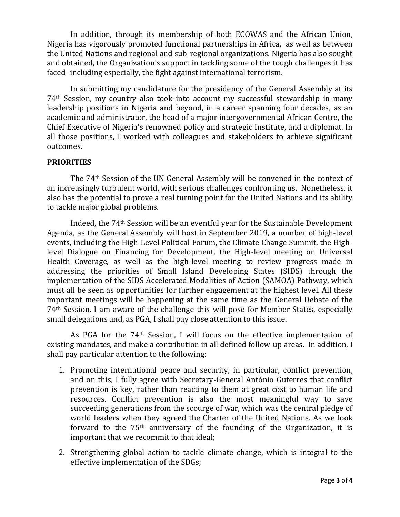In addition, through its membership of both ECOWAS and the African Union, Nigeria has vigorously promoted functional partnerships in Africa, as well as between the United Nations and regional and sub-regional organizations. Nigeria has also sought and obtained, the Organization's support in tackling some of the tough challenges it has faced- including especially, the fight against international terrorism.

In submitting my candidature for the presidency of the General Assembly at its 74th Session, my country also took into account my successful stewardship in many leadership positions in Nigeria and beyond, in a career spanning four decades, as an academic and administrator, the head of a major intergovernmental African Centre, the Chief Executive of Nigeria's renowned policy and strategic Institute, and a diplomat. In all those positions, I worked with colleagues and stakeholders to achieve significant outcomes.

#### **PRIORITIES**

The 74th Session of the UN General Assembly will be convened in the context of an increasingly turbulent world, with serious challenges confronting us. Nonetheless, it also has the potential to prove a real turning point for the United Nations and its ability to tackle major global problems.

Indeed, the 74th Session will be an eventful year for the Sustainable Development Agenda, as the General Assembly will host in September 2019, a number of high-level events, including the High-Level Political Forum, the Climate Change Summit, the Highlevel Dialogue on Financing for Development, the High-level meeting on Universal Health Coverage, as well as the high-level meeting to review progress made in addressing the priorities of Small Island Developing States (SIDS) through the implementation of the SIDS Accelerated Modalities of Action (SAMOA) Pathway, which must all be seen as opportunities for further engagement at the highest level. All these important meetings will be happening at the same time as the General Debate of the 74th Session. I am aware of the challenge this will pose for Member States, especially small delegations and, as PGA, I shall pay close attention to this issue.

As PGA for the 74th Session, I will focus on the effective implementation of existing mandates, and make a contribution in all defined follow-up areas. In addition, I shall pay particular attention to the following:

- 1. Promoting international peace and security, in particular, conflict prevention, and on this, I fully agree with Secretary-General António Guterres that conflict prevention is key, rather than reacting to them at great cost to human life and resources. Conflict prevention is also the most meaningful way to save succeeding generations from the scourge of war, which was the central pledge of world leaders when they agreed the Charter of the United Nations. As we look forward to the 75th anniversary of the founding of the Organization, it is important that we recommit to that ideal;
- 2. Strengthening global action to tackle climate change, which is integral to the effective implementation of the SDGs;